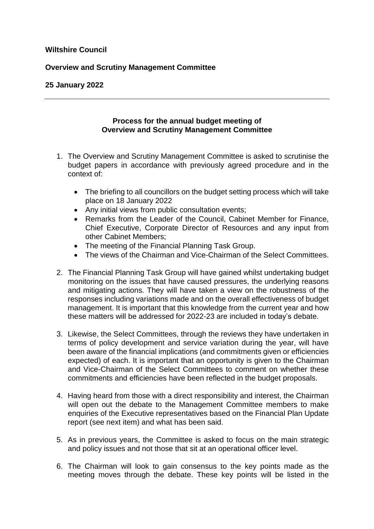## **Wiltshire Council**

## **Overview and Scrutiny Management Committee**

## **25 January 2022**

## **Process for the annual budget meeting of Overview and Scrutiny Management Committee**

- 1. The Overview and Scrutiny Management Committee is asked to scrutinise the budget papers in accordance with previously agreed procedure and in the context of:
	- The briefing to all councillors on the budget setting process which will take place on 18 January 2022
	- Any initial views from public consultation events;
	- Remarks from the Leader of the Council, Cabinet Member for Finance, Chief Executive, Corporate Director of Resources and any input from other Cabinet Members;
	- The meeting of the Financial Planning Task Group.
	- The views of the Chairman and Vice-Chairman of the Select Committees.
- 2. The Financial Planning Task Group will have gained whilst undertaking budget monitoring on the issues that have caused pressures, the underlying reasons and mitigating actions. They will have taken a view on the robustness of the responses including variations made and on the overall effectiveness of budget management. It is important that this knowledge from the current year and how these matters will be addressed for 2022-23 are included in today's debate.
- 3. Likewise, the Select Committees, through the reviews they have undertaken in terms of policy development and service variation during the year, will have been aware of the financial implications (and commitments given or efficiencies expected) of each. It is important that an opportunity is given to the Chairman and Vice-Chairman of the Select Committees to comment on whether these commitments and efficiencies have been reflected in the budget proposals.
- 4. Having heard from those with a direct responsibility and interest, the Chairman will open out the debate to the Management Committee members to make enquiries of the Executive representatives based on the Financial Plan Update report (see next item) and what has been said.
- 5. As in previous years, the Committee is asked to focus on the main strategic and policy issues and not those that sit at an operational officer level.
- 6. The Chairman will look to gain consensus to the key points made as the meeting moves through the debate. These key points will be listed in the